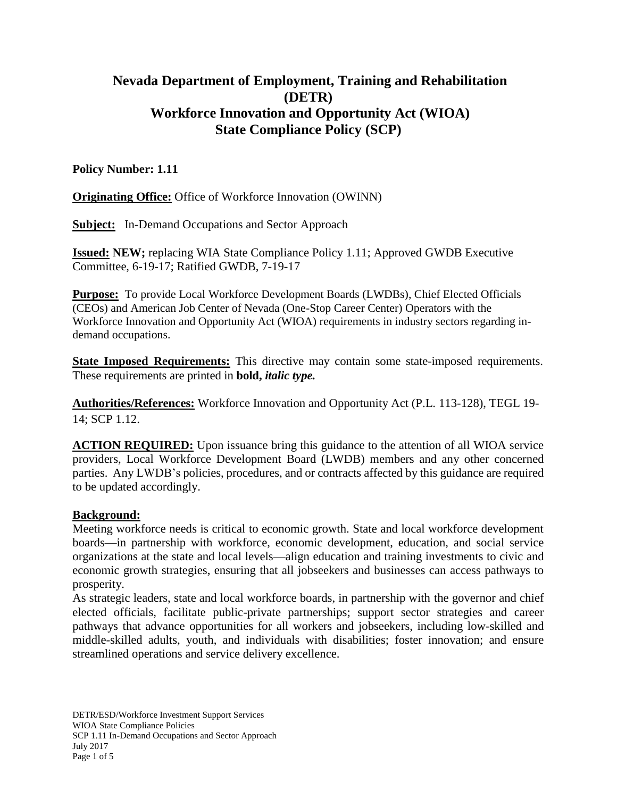# **Nevada Department of Employment, Training and Rehabilitation (DETR) Workforce Innovation and Opportunity Act (WIOA) State Compliance Policy (SCP)**

## **Policy Number: 1.11**

**Originating Office:** Office of Workforce Innovation (OWINN)

**Subject:** In-Demand Occupations and Sector Approach

**Issued: NEW;** replacing WIA State Compliance Policy 1.11; Approved GWDB Executive Committee, 6-19-17; Ratified GWDB, 7-19-17

**Purpose:** To provide Local Workforce Development Boards (LWDBs), Chief Elected Officials (CEOs) and American Job Center of Nevada (One-Stop Career Center) Operators with the Workforce Innovation and Opportunity Act (WIOA) requirements in industry sectors regarding indemand occupations.

**State Imposed Requirements:** This directive may contain some state-imposed requirements. These requirements are printed in **bold,** *italic type.*

**Authorities/References:** Workforce Innovation and Opportunity Act (P.L. 113-128), TEGL 19- 14; SCP 1.12.

**ACTION REQUIRED:** Upon issuance bring this guidance to the attention of all WIOA service providers, Local Workforce Development Board (LWDB) members and any other concerned parties. Any LWDB's policies, procedures, and or contracts affected by this guidance are required to be updated accordingly.

#### **Background:**

Meeting workforce needs is critical to economic growth. State and local workforce development boards—in partnership with workforce, economic development, education, and social service organizations at the state and local levels—align education and training investments to civic and economic growth strategies, ensuring that all jobseekers and businesses can access pathways to prosperity.

As strategic leaders, state and local workforce boards, in partnership with the governor and chief elected officials, facilitate public-private partnerships; support sector strategies and career pathways that advance opportunities for all workers and jobseekers, including low-skilled and middle-skilled adults, youth, and individuals with disabilities; foster innovation; and ensure streamlined operations and service delivery excellence.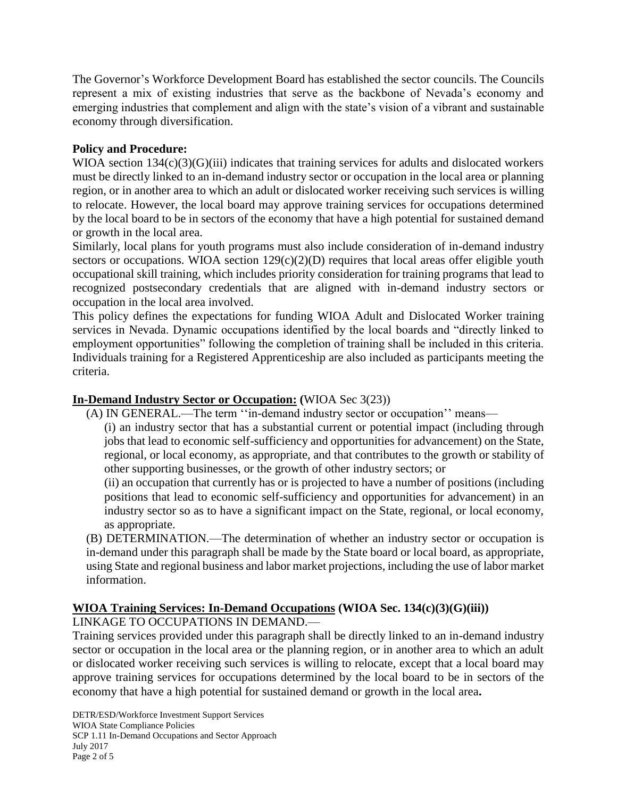The Governor's Workforce Development Board has established the sector councils. The Councils represent a mix of existing industries that serve as the backbone of Nevada's economy and emerging industries that complement and align with the state's vision of a vibrant and sustainable economy through diversification.

## **Policy and Procedure:**

WIOA section 134(c)(3)(G)(iii) indicates that training services for adults and dislocated workers must be directly linked to an in-demand industry sector or occupation in the local area or planning region, or in another area to which an adult or dislocated worker receiving such services is willing to relocate. However, the local board may approve training services for occupations determined by the local board to be in sectors of the economy that have a high potential for sustained demand or growth in the local area.

Similarly, local plans for youth programs must also include consideration of in-demand industry sectors or occupations. WIOA section  $129(c)(2)(D)$  requires that local areas offer eligible youth occupational skill training, which includes priority consideration for training programs that lead to recognized postsecondary credentials that are aligned with in-demand industry sectors or occupation in the local area involved.

This policy defines the expectations for funding WIOA Adult and Dislocated Worker training services in Nevada. Dynamic occupations identified by the local boards and "directly linked to employment opportunities" following the completion of training shall be included in this criteria. Individuals training for a Registered Apprenticeship are also included as participants meeting the criteria.

## **In-Demand Industry Sector or Occupation: (**WIOA Sec 3(23))

(A) IN GENERAL.—The term ''in-demand industry sector or occupation'' means—

(i) an industry sector that has a substantial current or potential impact (including through jobs that lead to economic self-sufficiency and opportunities for advancement) on the State, regional, or local economy, as appropriate, and that contributes to the growth or stability of other supporting businesses, or the growth of other industry sectors; or

(ii) an occupation that currently has or is projected to have a number of positions (including positions that lead to economic self-sufficiency and opportunities for advancement) in an industry sector so as to have a significant impact on the State, regional, or local economy, as appropriate.

(B) DETERMINATION.—The determination of whether an industry sector or occupation is in-demand under this paragraph shall be made by the State board or local board, as appropriate, using State and regional business and labor market projections, including the use of labor market information.

# **WIOA Training Services: In-Demand Occupations (WIOA Sec. 134(c)(3)(G)(iii))**

LINKAGE TO OCCUPATIONS IN DEMAND.—

Training services provided under this paragraph shall be directly linked to an in-demand industry sector or occupation in the local area or the planning region, or in another area to which an adult or dislocated worker receiving such services is willing to relocate, except that a local board may approve training services for occupations determined by the local board to be in sectors of the economy that have a high potential for sustained demand or growth in the local area**.**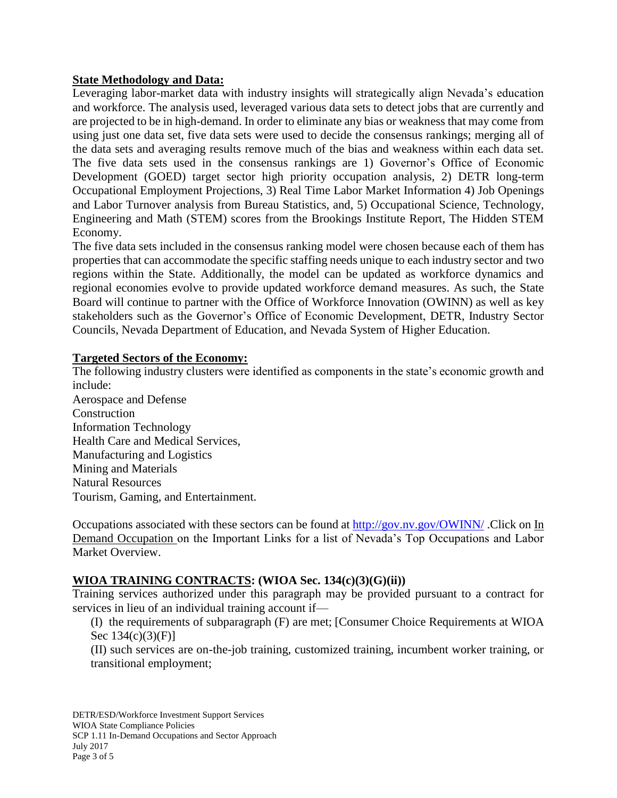#### **State Methodology and Data:**

Leveraging labor-market data with industry insights will strategically align Nevada's education and workforce. The analysis used, leveraged various data sets to detect jobs that are currently and are projected to be in high-demand. In order to eliminate any bias or weakness that may come from using just one data set, five data sets were used to decide the consensus rankings; merging all of the data sets and averaging results remove much of the bias and weakness within each data set. The five data sets used in the consensus rankings are 1) Governor's Office of Economic Development (GOED) target sector high priority occupation analysis, 2) DETR long-term Occupational Employment Projections, 3) Real Time Labor Market Information 4) Job Openings and Labor Turnover analysis from Bureau Statistics, and, 5) Occupational Science, Technology, Engineering and Math (STEM) scores from the Brookings Institute Report, The Hidden STEM Economy.

The five data sets included in the consensus ranking model were chosen because each of them has properties that can accommodate the specific staffing needs unique to each industry sector and two regions within the State. Additionally, the model can be updated as workforce dynamics and regional economies evolve to provide updated workforce demand measures. As such, the State Board will continue to partner with the Office of Workforce Innovation (OWINN) as well as key stakeholders such as the Governor's Office of Economic Development, DETR, Industry Sector Councils, Nevada Department of Education, and Nevada System of Higher Education.

#### **Targeted Sectors of the Economy:**

The following industry clusters were identified as components in the state's economic growth and include:

Aerospace and Defense Construction Information Technology Health Care and Medical Services, Manufacturing and Logistics Mining and Materials Natural Resources Tourism, Gaming, and Entertainment.

Occupations associated with these sectors can be found at<http://gov.nv.gov/OWINN/> .Click on In Demand Occupation on the Important Links for a list of Nevada's Top Occupations and Labor Market Overview.

#### **WIOA TRAINING CONTRACTS: (WIOA Sec. 134(c)(3)(G)(ii))**

Training services authorized under this paragraph may be provided pursuant to a contract for services in lieu of an individual training account if—

(I) the requirements of subparagraph (F) are met; [Consumer Choice Requirements at WIOA Sec 134(c)(3)(F)]

(II) such services are on-the-job training, customized training, incumbent worker training, or transitional employment;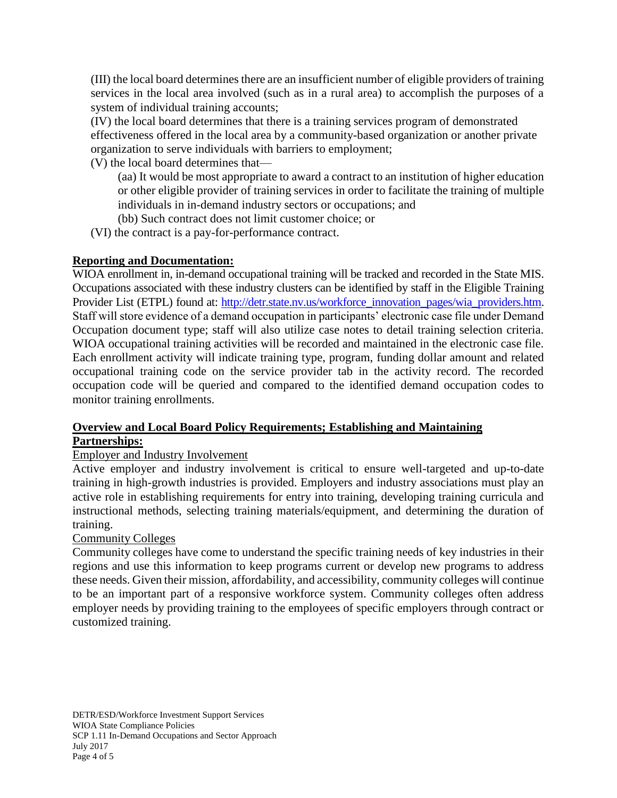(III) the local board determines there are an insufficient number of eligible providers of training services in the local area involved (such as in a rural area) to accomplish the purposes of a system of individual training accounts;

(IV) the local board determines that there is a training services program of demonstrated effectiveness offered in the local area by a community-based organization or another private organization to serve individuals with barriers to employment;

(V) the local board determines that—

(aa) It would be most appropriate to award a contract to an institution of higher education or other eligible provider of training services in order to facilitate the training of multiple individuals in in-demand industry sectors or occupations; and

(bb) Such contract does not limit customer choice; or

(VI) the contract is a pay-for-performance contract.

# **Reporting and Documentation:**

WIOA enrollment in, in-demand occupational training will be tracked and recorded in the State MIS. Occupations associated with these industry clusters can be identified by staff in the Eligible Training Provider List (ETPL) found at: [http://detr.state.nv.us/workforce\\_innovation\\_pages/wia\\_providers.htm.](http://detr.state.nv.us/workforce_innovation_pages/wia_providers.htm) Staff will store evidence of a demand occupation in participants' electronic case file under Demand Occupation document type; staff will also utilize case notes to detail training selection criteria. WIOA occupational training activities will be recorded and maintained in the electronic case file. Each enrollment activity will indicate training type, program, funding dollar amount and related occupational training code on the service provider tab in the activity record. The recorded occupation code will be queried and compared to the identified demand occupation codes to monitor training enrollments.

## **Overview and Local Board Policy Requirements; Establishing and Maintaining Partnerships:**

# Employer and Industry Involvement

Active employer and industry involvement is critical to ensure well-targeted and up-to-date training in high-growth industries is provided. Employers and industry associations must play an active role in establishing requirements for entry into training, developing training curricula and instructional methods, selecting training materials/equipment, and determining the duration of training.

# Community Colleges

Community colleges have come to understand the specific training needs of key industries in their regions and use this information to keep programs current or develop new programs to address these needs. Given their mission, affordability, and accessibility, community colleges will continue to be an important part of a responsive workforce system. Community colleges often address employer needs by providing training to the employees of specific employers through contract or customized training.